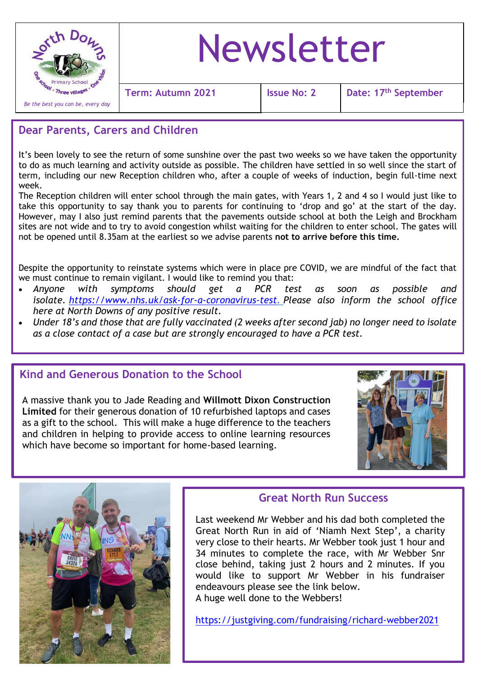

# Newsletter

**Term: Autumn 2021 Issue No: 2 Date: 17th September**

### **Dear Parents, Carers and Children**

It's been lovely to see the return of some sunshine over the past two weeks so we have taken the opportunity to do as much learning and activity outside as possible. The children have settled in so well since the start of term, including our new Reception children who, after a couple of weeks of induction, begin full-time next week.

The Reception children will enter school through the main gates, with Years 1, 2 and 4 so I would just like to take this opportunity to say thank you to parents for continuing to 'drop and go' at the start of the day. However, may I also just remind parents that the pavements outside school at both the Leigh and Brockham sites are not wide and to try to avoid congestion whilst waiting for the children to enter school. The gates will not be opened until 8.35am at the earliest so we advise parents **not to arrive before this time.**

Despite the opportunity to reinstate systems which were in place pre COVID, we are mindful of the fact that we must continue to remain vigilant. I would like to remind you that:

- *Anyone with symptoms should get a PCR test as soon as possible and isolate. [https://www.nhs.uk/ask-for-a-coronavirus-test.](https://www.nhs.uk/ask-for-a-coronavirus-test) Please also inform the school office here at North Downs of any positive result.*
- *Under 18's and those that are fully vaccinated (2 weeks after second jab) no longer need to isolate as a close contact of a case but are strongly encouraged to have a PCR test.*

#### **Kind and Generous Donation to the School**

A massive thank you to Jade Reading and **Willmott Dixon Construction Limited** for their generous donation of 10 refurbished laptops and cases as a gift to the school. This will make a huge difference to the teachers and children in helping to provide access to online learning resources which have become so important for home-based learning.





#### **Great North Run Success**

Last weekend Mr Webber and his dad both completed the Great North Run in aid of 'Niamh Next Step', a charity very close to their hearts. Mr Webber took just 1 hour and 34 minutes to complete the race, with Mr Webber Snr close behind, taking just 2 hours and 2 minutes. If you would like to support Mr Webber in his fundraiser endeavours please see the link below. A huge well done to the Webbers!

<https://justgiving.com/fundraising/richard-webber2021>